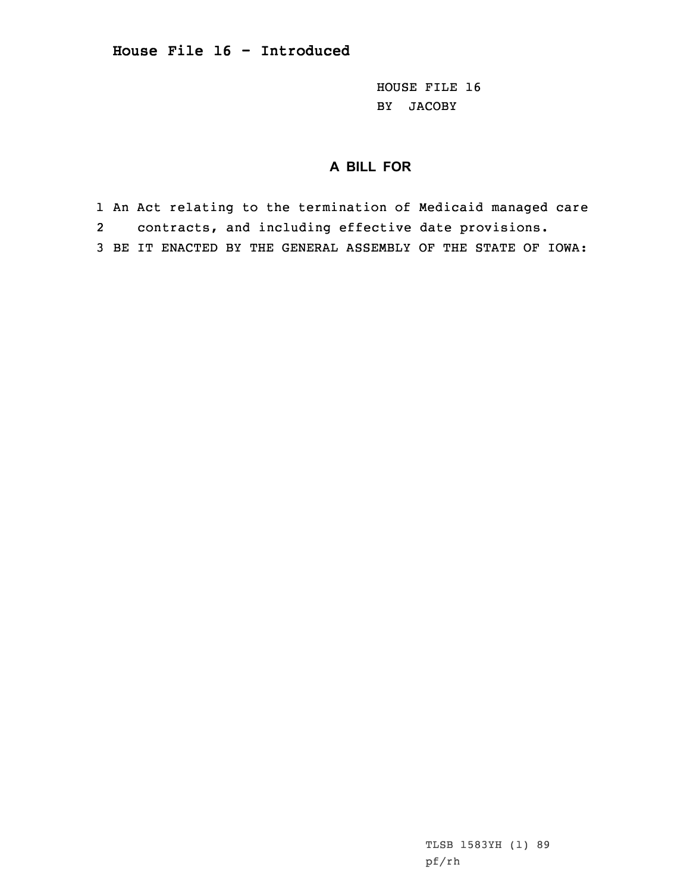HOUSE FILE 16 BY JACOBY

## **A BILL FOR**

1 An Act relating to the termination of Medicaid managed care

- 2contracts, and including effective date provisions.
- 3 BE IT ENACTED BY THE GENERAL ASSEMBLY OF THE STATE OF IOWA: